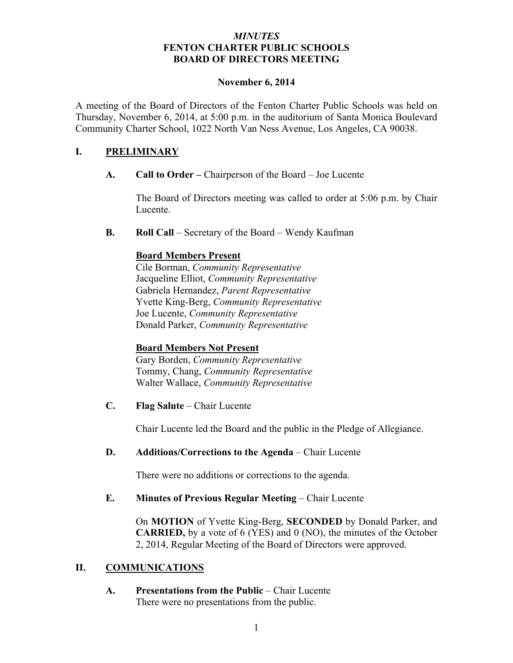### *MINUTES* **FENTON CHARTER PUBLIC SCHOOLS BOARD OF DIRECTORS MEETING**

#### **November 6, 2014**

A meeting of the Board of Directors of the Fenton Charter Public Schools was held on Thursday, November 6, 2014, at 5:00 p.m. in the auditorium of Santa Monica Boulevard Community Charter School, 1022 North Van Ness Avenue, Los Angeles, CA 90038.

### **I. PRELIMINARY**

**A. Call to Order –** Chairperson of the Board – Joe Lucente

The Board of Directors meeting was called to order at 5:06 p.m. by Chair Lucente.

**B. Roll Call** – Secretary of the Board – Wendy Kaufman

# **Board Members Present**

Cile Borman, *Community Representative* Jacqueline Elliot, *Community Representative* Gabriela Hernandez, *Parent Representative* Yvette King-Berg, *Community Representative* Joe Lucente, *Community Representative* Donald Parker, *Community Representative*

# **Board Members Not Present**

Gary Borden, *Community Representative* Tommy, Chang, *Community Representative* Walter Wallace, *Community Representative*

**C. Flag Salute** – Chair Lucente

Chair Lucente led the Board and the public in the Pledge of Allegiance.

**D. Additions/Corrections to the Agenda** – Chair Lucente

There were no additions or corrections to the agenda.

#### **E. Minutes of Previous Regular Meeting – Chair Lucente**

On **MOTION** of Yvette King-Berg, **SECONDED** by Donald Parker, and **CARRIED,** by a vote of 6 (YES) and 0 (NO), the minutes of the October 2, 2014, Regular Meeting of the Board of Directors were approved.

#### **II. COMMUNICATIONS**

**A. Presentations from the Public** – Chair Lucente There were no presentations from the public.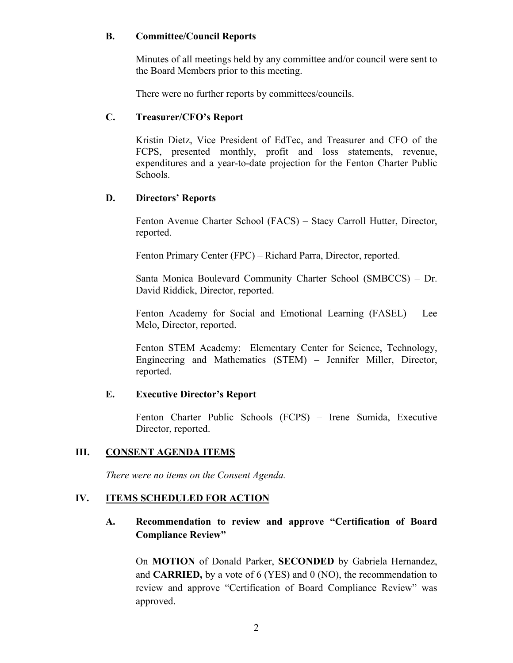#### **B. Committee/Council Reports**

Minutes of all meetings held by any committee and/or council were sent to the Board Members prior to this meeting.

There were no further reports by committees/councils.

### **C. Treasurer/CFO's Report**

Kristin Dietz, Vice President of EdTec, and Treasurer and CFO of the FCPS, presented monthly, profit and loss statements, revenue, expenditures and a year-to-date projection for the Fenton Charter Public Schools.

### **D. Directors' Reports**

Fenton Avenue Charter School (FACS) – Stacy Carroll Hutter, Director, reported.

Fenton Primary Center (FPC) – Richard Parra, Director, reported.

Santa Monica Boulevard Community Charter School (SMBCCS) – Dr. David Riddick, Director, reported.

Fenton Academy for Social and Emotional Learning (FASEL) – Lee Melo, Director, reported.

Fenton STEM Academy: Elementary Center for Science, Technology, Engineering and Mathematics (STEM) – Jennifer Miller, Director, reported.

# **E. Executive Director's Report**

Fenton Charter Public Schools (FCPS) – Irene Sumida, Executive Director, reported.

# **III. CONSENT AGENDA ITEMS**

*There were no items on the Consent Agenda.*

#### **IV. ITEMS SCHEDULED FOR ACTION**

# **A. Recommendation to review and approve "Certification of Board Compliance Review"**

On **MOTION** of Donald Parker, **SECONDED** by Gabriela Hernandez, and **CARRIED,** by a vote of 6 (YES) and 0 (NO), the recommendation to review and approve "Certification of Board Compliance Review" was approved.